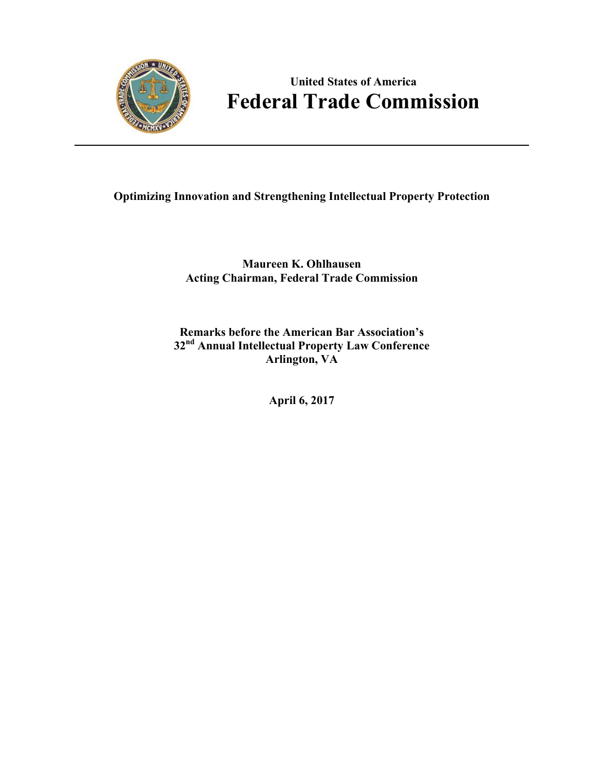

# **United States of America Federal Trade Commission**

## **Optimizing Innovation and Strengthening Intellectual Property Protection**

**Maureen K. Ohlhausen Acting Chairman, Federal Trade Commission**

**Remarks before the American Bar Association's 32nd Annual Intellectual Property Law Conference Arlington, VA** 

**April 6, 2017**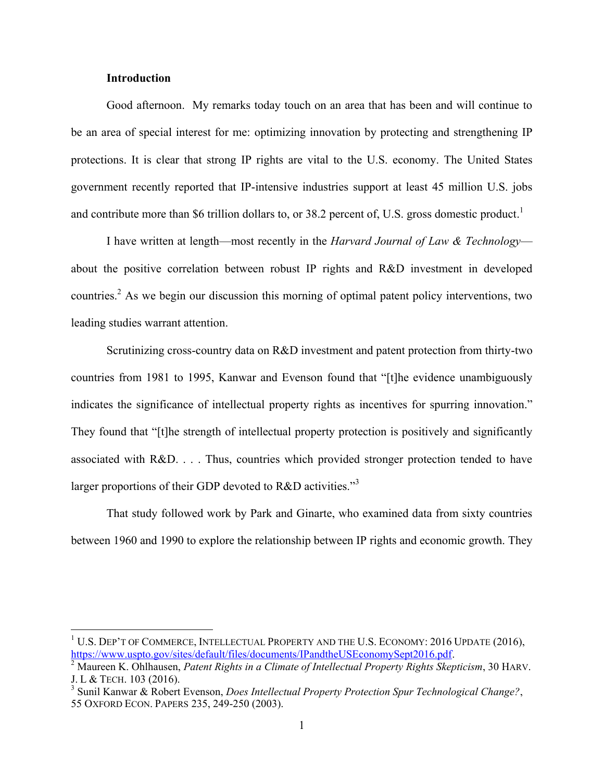#### **Introduction**

 $\overline{a}$ 

 protections. It is clear that strong IP rights are vital to the U.S. economy. The United States government recently reported that IP-intensive industries support at least 45 million U.S. jobs and contribute more than \$6 trillion dollars to, or 38.2 percent of, U.S. gross domestic product.<sup>1</sup> Good afternoon. My remarks today touch on an area that has been and will continue to be an area of special interest for me: optimizing innovation by protecting and strengthening IP

I have written at length—most recently in the *Harvard Journal of Law & Technology* countries.<sup>2</sup> As we begin our discussion this morning of optimal patent policy interventions, two about the positive correlation between robust IP rights and R&D investment in developed leading studies warrant attention.

 Scrutinizing cross-country data on R&D investment and patent protection from thirty-two indicates the significance of intellectual property rights as incentives for spurring innovation." They found that "[t]he strength of intellectual property protection is positively and significantly associated with R&D. . . . Thus, countries which provided stronger protection tended to have countries from 1981 to 1995, Kanwar and Evenson found that "[t]he evidence unambiguously larger proportions of their GDP devoted to R&D activities."<sup>3</sup>

 between 1960 and 1990 to explore the relationship between IP rights and economic growth. They That study followed work by Park and Ginarte, who examined data from sixty countries

 $1$  U.S. Dep't of Commerce, Intellectual Property and the U.S. Economy: 2016 Update (2016), https://www.uspto.gov/sites/default/files/documents/IPandtheUSEconomySept2016.pdf. 2 Maureen K. Ohlhausen, *Patent Rights in a Climate of Intellectual Property Rights Skepticism*, 30 HARV.

 J. L & TECH. 103 (2016).

 55 OXFORD ECON. PAPERS 235, 249-250 (2003). 3 Sunil Kanwar & Robert Evenson, *Does Intellectual Property Protection Spur Technological Change?*,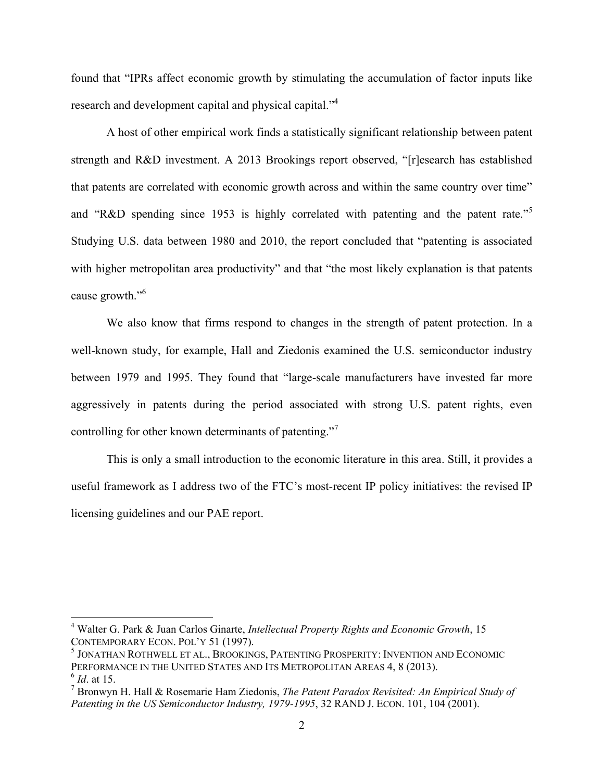found that "IPRs affect economic growth by stimulating the accumulation of factor inputs like research and development capital and physical capital."<sup>4</sup>

 A host of other empirical work finds a statistically significant relationship between patent that patents are correlated with economic growth across and within the same country over time" and "R&D spending since 1953 is highly correlated with patenting and the patent rate."<sup>5</sup> with higher metropolitan area productivity" and that "the most likely explanation is that patents cause growth."<sup>6</sup> strength and R&D investment. A 2013 Brookings report observed, "[r]esearch has established Studying U.S. data between 1980 and 2010, the report concluded that "patenting is associated

 We also know that firms respond to changes in the strength of patent protection. In a well-known study, for example, Hall and Ziedonis examined the U.S. semiconductor industry controlling for other known determinants of patenting."<sup>7</sup> between 1979 and 1995. They found that "large-scale manufacturers have invested far more aggressively in patents during the period associated with strong U.S. patent rights, even

 This is only a small introduction to the economic literature in this area. Still, it provides a useful framework as I address two of the FTC's most-recent IP policy initiatives: the revised IP licensing guidelines and our PAE report.

 CONTEMPORARY ECON. POL'Y 51 (1997). 4 Walter G. Park & Juan Carlos Ginarte, *Intellectual Property Rights and Economic Growth*, 15

PERFORMANCE IN THE UNITED STATES AND ITS METROPOLITAN AREAS 4, 8 (2013). <sup>6</sup>*Id*. at 15. 5 JONATHAN ROTHWELL ET AL., BROOKINGS, PATENTING PROSPERITY: INVENTION AND ECONOMIC

 7 Bronwyn H. Hall & Rosemarie Ham Ziedonis, *The Patent Paradox Revisited: An Empirical Study of Patenting in the US Semiconductor Industry, 1979-1995*, 32 RAND J. ECON. 101, 104 (2001).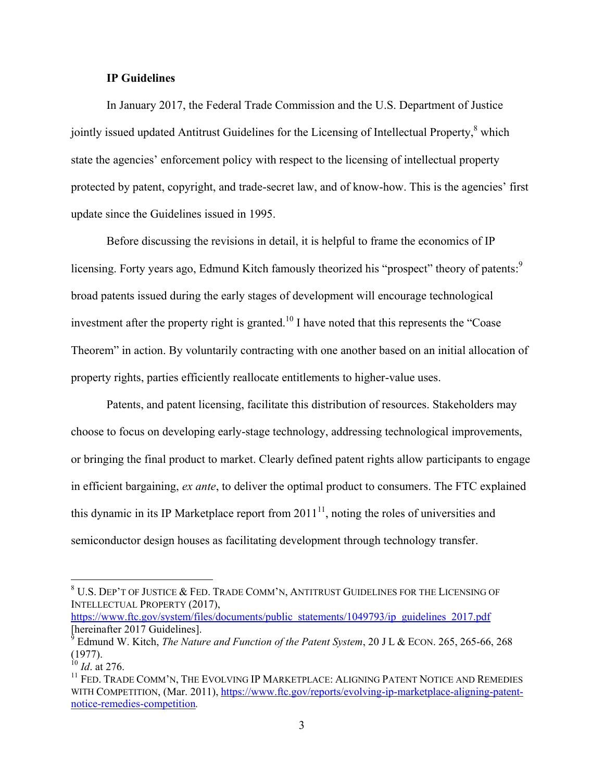### **IP Guidelines**

jointly issued updated Antitrust Guidelines for the Licensing of Intellectual Property, $\frac{8}{3}$  which In January 2017, the Federal Trade Commission and the U.S. Department of Justice state the agencies' enforcement policy with respect to the licensing of intellectual property protected by patent, copyright, and trade-secret law, and of know-how. This is the agencies' first update since the Guidelines issued in 1995.

investment after the property right is granted.<sup>10</sup> I have noted that this represents the "Coase" Before discussing the revisions in detail, it is helpful to frame the economics of IP licensing. Forty years ago, Edmund Kitch famously theorized his "prospect" theory of patents:<sup>9</sup> broad patents issued during the early stages of development will encourage technological Theorem" in action. By voluntarily contracting with one another based on an initial allocation of property rights, parties efficiently reallocate entitlements to higher-value uses.

 or bringing the final product to market. Clearly defined patent rights allow participants to engage Patents, and patent licensing, facilitate this distribution of resources. Stakeholders may choose to focus on developing early-stage technology, addressing technological improvements, in efficient bargaining, *ex ante*, to deliver the optimal product to consumers. The FTC explained this dynamic in its IP Marketplace report from  $2011^{11}$ , noting the roles of universities and semiconductor design houses as facilitating development through technology transfer.

 $^8$  U.S. Dep't of Justice & Fed. Trade Comm'n, Antitrust Guidelines for the Licensing of INTELLECTUAL PROPERTY (2017),

https://www.ftc.gov/system/files/documents/public statements/1049793/ip guidelines 2017.pdf  $[herenafter 2017\,Guidelines].$ 

 9 Edmund W. Kitch, *The Nature and Function of the Patent System*, 20 J L & ECON. 265, 265-66, 268 (1977).

 <sup>10</sup>*Id*. at 276.

<sup>&</sup>lt;sup>11</sup> FED. TRADE COMM'N, THE EVOLVING IP MARKETPLACE: ALIGNING PATENT NOTICE AND REMEDIES notice-remedies-competition*.*  WITH COMPETITION, (Mar. 2011), https://www.ftc.gov/reports/evolving-ip-marketplace-aligning-patent-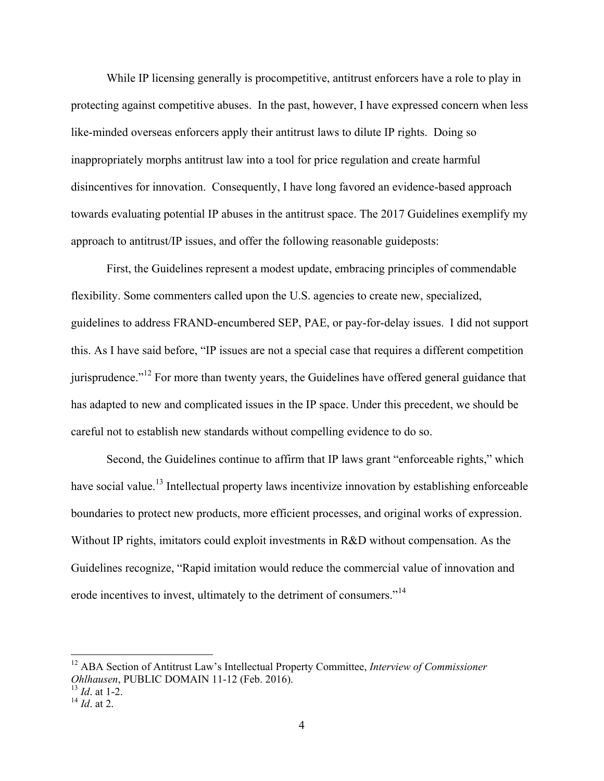While IP licensing generally is procompetitive, antitrust enforcers have a role to play in protecting against competitive abuses. In the past, however, I have expressed concern when less like-minded overseas enforcers apply their antitrust laws to dilute IP rights. Doing so inappropriately morphs antitrust law into a tool for price regulation and create harmful disincentives for innovation. Consequently, I have long favored an evidence-based approach towards evaluating potential IP abuses in the antitrust space. The 2017 Guidelines exemplify my approach to antitrust/IP issues, and offer the following reasonable guideposts:

 flexibility. Some commenters called upon the U.S. agencies to create new, specialized, First, the Guidelines represent a modest update, embracing principles of commendable guidelines to address FRAND-encumbered SEP, PAE, or pay-for-delay issues. I did not support this. As I have said before, "IP issues are not a special case that requires a different competition jurisprudence."<sup>12</sup> For more than twenty years, the Guidelines have offered general guidance that has adapted to new and complicated issues in the IP space. Under this precedent, we should be careful not to establish new standards without compelling evidence to do so.

 Without IP rights, imitators could exploit investments in R&D without compensation. As the Second, the Guidelines continue to affirm that IP laws grant "enforceable rights," which have social value.<sup>13</sup> Intellectual property laws incentivize innovation by establishing enforceable boundaries to protect new products, more efficient processes, and original works of expression. Guidelines recognize, "Rapid imitation would reduce the commercial value of innovation and erode incentives to invest, ultimately to the detriment of consumers."<sup>14</sup>

 *Ohlhausen*, PUBLIC DOMAIN 11-12 (Feb. 2016). <sup>13</sup>*Id*. at 1-2. <sup>12</sup> ABA Section of Antitrust Law's Intellectual Property Committee, *Interview of Commissioner* 

<sup>&</sup>lt;sup>13</sup> *Id.* at 1-2.<br><sup>14</sup> *Id.* at 2.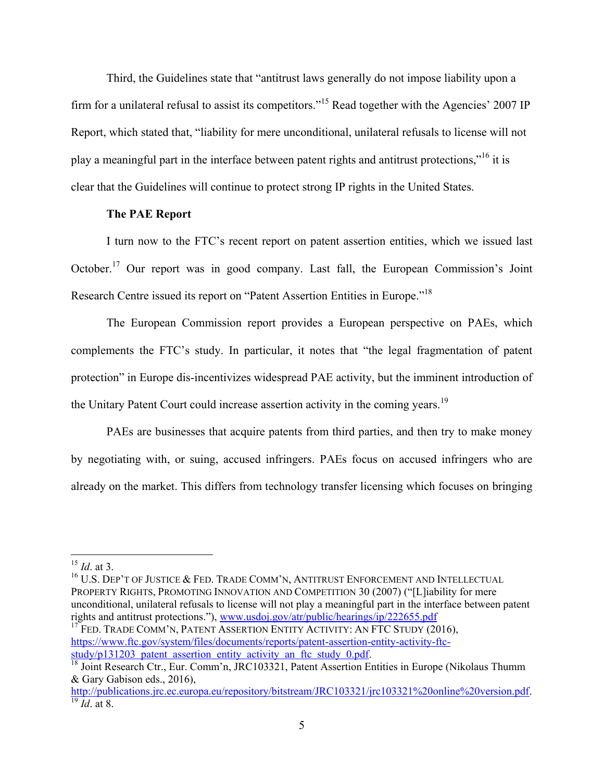play a meaningful part in the interface between patent rights and antitrust protections,"<sup>16</sup> it is Third, the Guidelines state that "antitrust laws generally do not impose liability upon a firm for a unilateral refusal to assist its competitors."<sup>15</sup> Read together with the Agencies' 2007 IP Report, which stated that, "liability for mere unconditional, unilateral refusals to license will not clear that the Guidelines will continue to protect strong IP rights in the United States.

### **The PAE Report**

 I turn now to the FTC's recent report on patent assertion entities, which we issued last October.<sup>17</sup> Our report was in good company. Last fall, the European Commission's Joint Research Centre issued its report on "Patent Assertion Entities in Europe."<sup>18</sup>

 The European Commission report provides a European perspective on PAEs, which complements the FTC's study. In particular, it notes that "the legal fragmentation of patent protection" in Europe dis-incentivizes widespread PAE activity, but the imminent introduction of the Unitary Patent Court could increase assertion activity in the coming years.<sup>19</sup>

 PAEs are businesses that acquire patents from third parties, and then try to make money by negotiating with, or suing, accused infringers. PAEs focus on accused infringers who are already on the market. This differs from technology transfer licensing which focuses on bringing

 $\overline{a}$ 

 $^{16}$  U.S. Dep't of Justice & Fed. Trade Comm'n, Antitrust Enforcement and Intellectual PROPERTY RIGHTS, PROMOTING INNOVATION AND COMPETITION 30 (2007) ("[L]iability for mere unconditional, unilateral refusals to license will not play a meaningful part in the interface between patent rights and antitrust protections."), www.usdoj.gov/atr/public/hearings/ip/222655.pdf

 $17$  Fed. Trade Comm'n, Patent Assertion Entity Activity: An FTC Study (2016), https://www.ftc.gov/system/files/documents/reports/patent-assertion-entity-activity-ftc-<br>study/p131203 patent assertion entity activity an ftc study 0.pdf.

 <sup>15</sup>*Id*. at 3.

 $18$  Joint Research Ctr., Eur. Comm'n, JRC103321, Patent Assertion Entities in Europe (Nikolaus Thumm) & Gary Gabison eds., 2016),

 $\frac{19}{19}$  *Id.* at 8. http://publications.jrc.ec.europa.eu/repository/bitstream/JRC103321/jrc103321%20online%20version.pdf.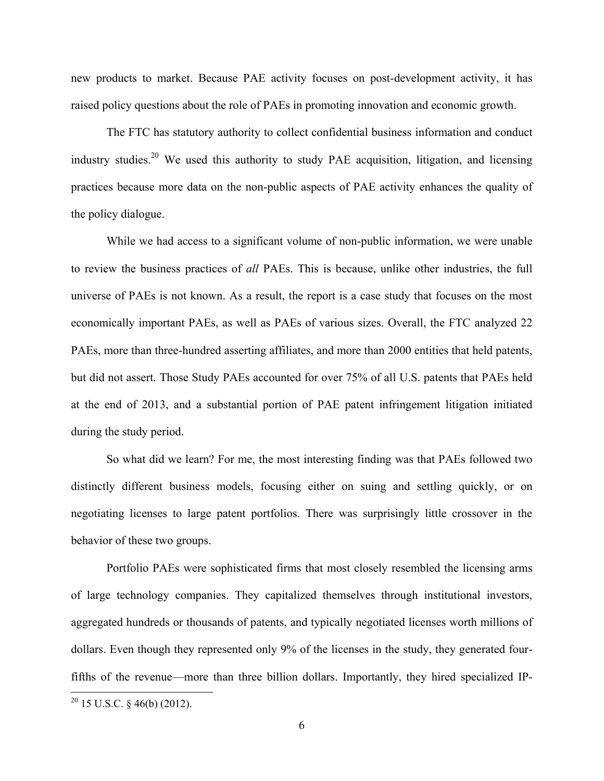new products to market. Because PAE activity focuses on post-development activity, it has raised policy questions about the role of PAEs in promoting innovation and economic growth.

The FTC has statutory authority to collect confidential business information and conduct industry studies.<sup>20</sup> We used this authority to study PAE acquisition, litigation, and licensing practices because more data on the non-public aspects of PAE activity enhances the quality of the policy dialogue.

 While we had access to a significant volume of non-public information, we were unable to review the business practices of *all* PAEs. This is because, unlike other industries, the full universe of PAEs is not known. As a result, the report is a case study that focuses on the most economically important PAEs, as well as PAEs of various sizes. Overall, the FTC analyzed 22 but did not assert. Those Study PAEs accounted for over 75% of all U.S. patents that PAEs held at the end of 2013, and a substantial portion of PAE patent infringement litigation initiated PAEs, more than three-hundred asserting affiliates, and more than 2000 entities that held patents, during the study period.

 So what did we learn? For me, the most interesting finding was that PAEs followed two distinctly different business models, focusing either on suing and settling quickly, or on negotiating licenses to large patent portfolios. There was surprisingly little crossover in the behavior of these two groups.

 Portfolio PAEs were sophisticated firms that most closely resembled the licensing arms of large technology companies. They capitalized themselves through institutional investors, dollars. Even though they represented only 9% of the licenses in the study, they generated fouraggregated hundreds or thousands of patents, and typically negotiated licenses worth millions of fifths of the revenue—more than three billion dollars. Importantly, they hired specialized IP-

 $20$  15 U.S.C. § 46(b) (2012).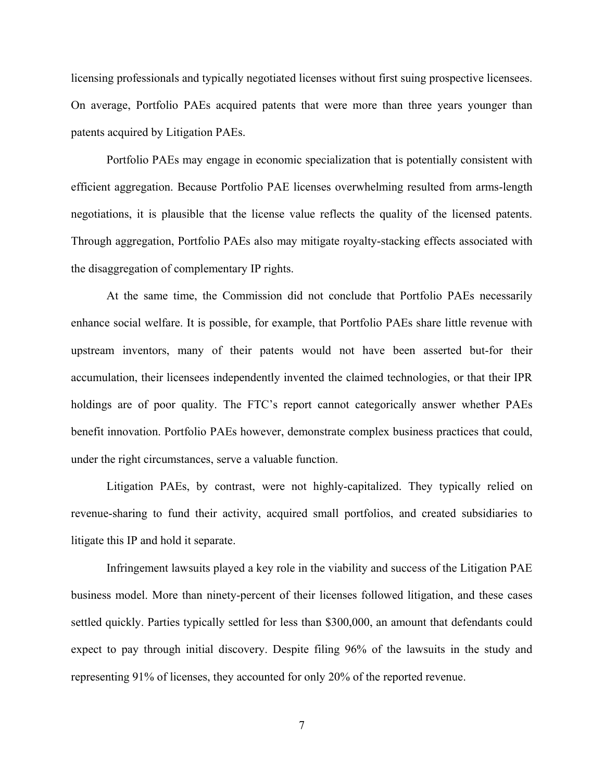On average, Portfolio PAEs acquired patents that were more than three years younger than licensing professionals and typically negotiated licenses without first suing prospective licensees. patents acquired by Litigation PAEs.

 Portfolio PAEs may engage in economic specialization that is potentially consistent with the disaggregation of complementary IP rights. efficient aggregation. Because Portfolio PAE licenses overwhelming resulted from arms-length negotiations, it is plausible that the license value reflects the quality of the licensed patents. Through aggregation, Portfolio PAEs also may mitigate royalty-stacking effects associated with

 upstream inventors, many of their patents would not have been asserted but-for their accumulation, their licensees independently invented the claimed technologies, or that their IPR holdings are of poor quality. The FTC's report cannot categorically answer whether PAEs benefit innovation. Portfolio PAEs however, demonstrate complex business practices that could, under the right circumstances, serve a valuable function. At the same time, the Commission did not conclude that Portfolio PAEs necessarily enhance social welfare. It is possible, for example, that Portfolio PAEs share little revenue with

 Litigation PAEs, by contrast, were not highly-capitalized. They typically relied on litigate this IP and hold it separate. litigate this IP and hold it separate.<br>Infringement lawsuits played a key role in the viability and success of the Litigation PAE revenue-sharing to fund their activity, acquired small portfolios, and created subsidiaries to

 business model. More than ninety-percent of their licenses followed litigation, and these cases settled quickly. Parties typically settled for less than \$300,000, an amount that defendants could expect to pay through initial discovery. Despite filing 96% of the lawsuits in the study and representing 91% of licenses, they accounted for only 20% of the reported revenue.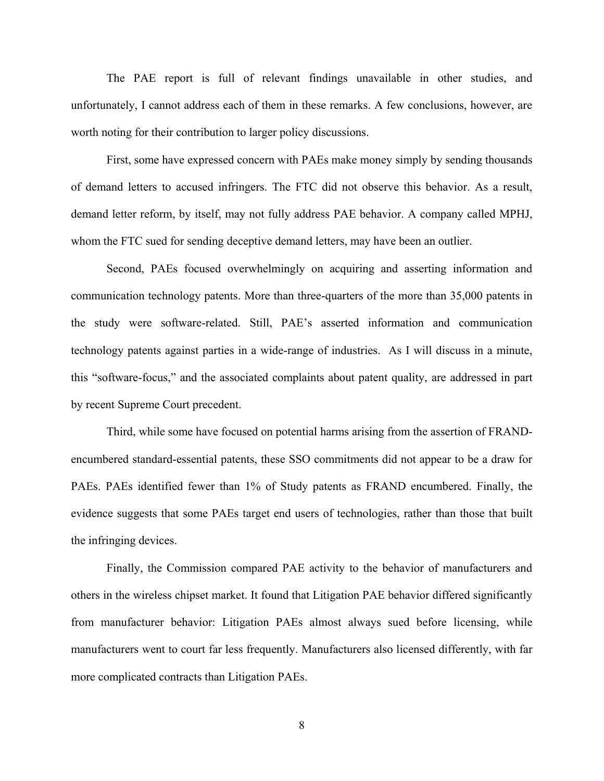The PAE report is full of relevant findings unavailable in other studies, and unfortunately, I cannot address each of them in these remarks. A few conclusions, however, are worth noting for their contribution to larger policy discussions.

 First, some have expressed concern with PAEs make money simply by sending thousands of demand letters to accused infringers. The FTC did not observe this behavior. As a result, demand letter reform, by itself, may not fully address PAE behavior. A company called MPHJ, whom the FTC sued for sending deceptive demand letters, may have been an outlier.

 communication technology patents. More than three-quarters of the more than 35,000 patents in technology patents against parties in a wide-range of industries. As I will discuss in a minute, this "software-focus," and the associated complaints about patent quality, are addressed in part Second, PAEs focused overwhelmingly on acquiring and asserting information and the study were software-related. Still, PAE's asserted information and communication by recent Supreme Court precedent.

 encumbered standard-essential patents, these SSO commitments did not appear to be a draw for PAEs. PAEs identified fewer than 1% of Study patents as FRAND encumbered. Finally, the Third, while some have focused on potential harms arising from the assertion of FRANDevidence suggests that some PAEs target end users of technologies, rather than those that built the infringing devices.

 Finally, the Commission compared PAE activity to the behavior of manufacturers and others in the wireless chipset market. It found that Litigation PAE behavior differed significantly manufacturers went to court far less frequently. Manufacturers also licensed differently, with far more complicated contracts than Litigation PAEs.<br>8 from manufacturer behavior: Litigation PAEs almost always sued before licensing, while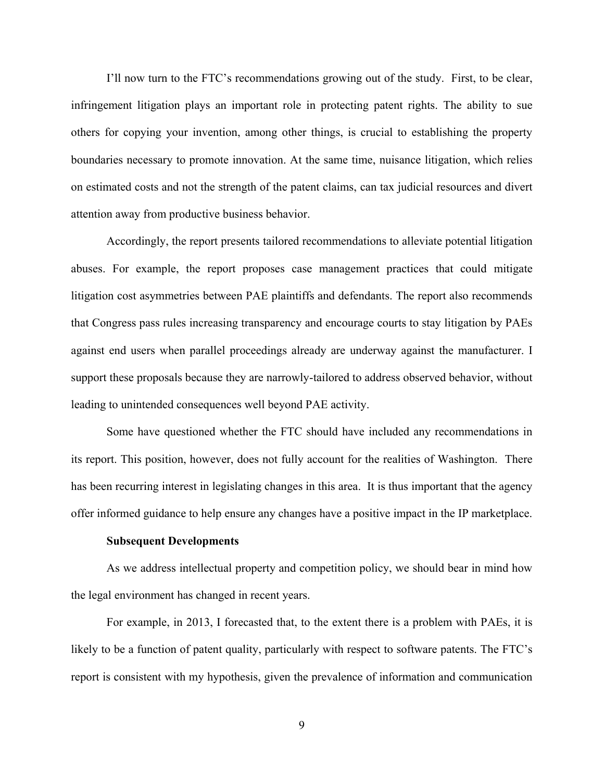I'll now turn to the FTC's recommendations growing out of the study. First, to be clear, boundaries necessary to promote innovation. At the same time, nuisance litigation, which relies on estimated costs and not the strength of the patent claims, can tax judicial resources and divert infringement litigation plays an important role in protecting patent rights. The ability to sue others for copying your invention, among other things, is crucial to establishing the property attention away from productive business behavior.

 Accordingly, the report presents tailored recommendations to alleviate potential litigation support these proposals because they are narrowly-tailored to address observed behavior, without abuses. For example, the report proposes case management practices that could mitigate litigation cost asymmetries between PAE plaintiffs and defendants. The report also recommends that Congress pass rules increasing transparency and encourage courts to stay litigation by PAEs against end users when parallel proceedings already are underway against the manufacturer. I leading to unintended consequences well beyond PAE activity.

 Some have questioned whether the FTC should have included any recommendations in its report. This position, however, does not fully account for the realities of Washington. There has been recurring interest in legislating changes in this area. It is thus important that the agency offer informed guidance to help ensure any changes have a positive impact in the IP marketplace.

#### **Subsequent Developments**

 the legal environment has changed in recent years. As we address intellectual property and competition policy, we should bear in mind how

 For example, in 2013, I forecasted that, to the extent there is a problem with PAEs, it is report is consistent with my hypothesis, given the prevalence of information and communication likely to be a function of patent quality, particularly with respect to software patents. The FTC's

9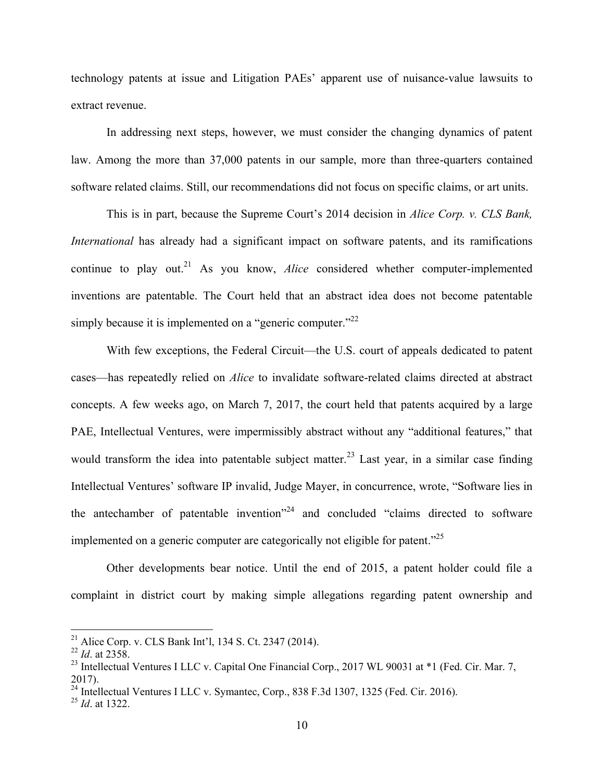technology patents at issue and Litigation PAEs' apparent use of nuisance-value lawsuits to extract revenue.

 In addressing next steps, however, we must consider the changing dynamics of patent law. Among the more than 37,000 patents in our sample, more than three-quarters contained software related claims. Still, our recommendations did not focus on specific claims, or art units.

 This is in part, because the Supreme Court's 2014 decision in *Alice Corp. v. CLS Bank, International* has already had a significant impact on software patents, and its ramifications continue to play out.<sup>21</sup> As you know, *Alice* considered whether computer-implemented inventions are patentable. The Court held that an abstract idea does not become patentable simply because it is implemented on a "generic computer."<sup>22</sup>

 cases—has repeatedly relied on *Alice* to invalidate software-related claims directed at abstract concepts. A few weeks ago, on March 7, 2017, the court held that patents acquired by a large PAE, Intellectual Ventures, were impermissibly abstract without any "additional features," that would transform the idea into patentable subject matter.<sup>23</sup> Last year, in a similar case finding the antechamber of patentable invention<sup> $24$ </sup> and concluded "claims directed to software implemented on a generic computer are categorically not eligible for patent. $^{25}$ With few exceptions, the Federal Circuit—the U.S. court of appeals dedicated to patent Intellectual Ventures' software IP invalid, Judge Mayer, in concurrence, wrote, "Software lies in

 Other developments bear notice. Until the end of 2015, a patent holder could file a complaint in district court by making simple allegations regarding patent ownership and

<sup>&</sup>lt;sup>21</sup> Alice Corp. v. CLS Bank Int'l, 134 S. Ct. 2347 (2014).

 <sup>22</sup>*Id*. at 2358.

 $^{22}$  *Id.* at 2358.<br><sup>23</sup> Intellectual Ventures I LLC v. Capital One Financial Corp., 2017 WL 90031 at \*1 (Fed. Cir. Mar. 7, 2017). 2017).<br><sup>24</sup> Intellectual Ventures I LLC v. Symantec, Corp., 838 F.3d 1307, 1325 (Fed. Cir. 2016).

<sup>&</sup>lt;sup>24</sup> Intellectual Ventures I LLC v. Symantec, Corp., 838 F.3d 1307, 1325 (Fed. Cir. 2016).<br><sup>25</sup> *Id.* at 1322.

 $^{25}$  *Id.* at 1322.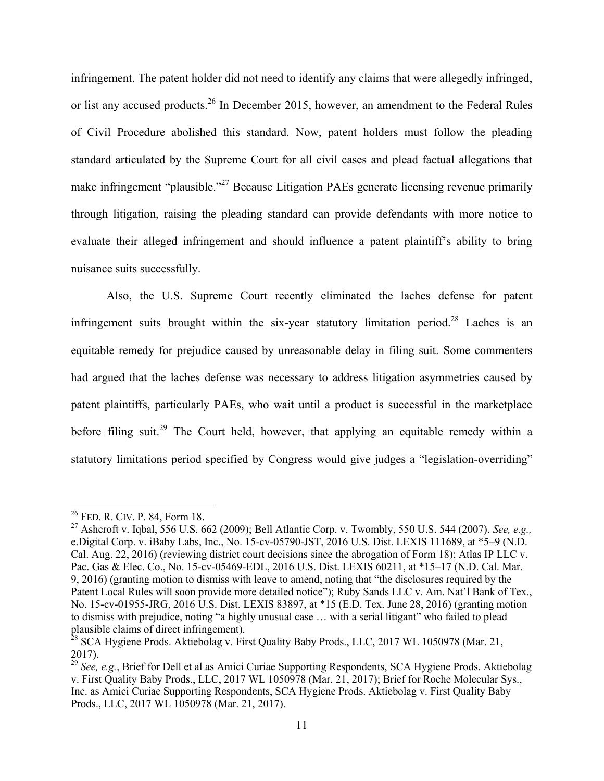or list any accused products.<sup>26</sup> In December 2015, however, an amendment to the Federal Rules of Civil Procedure abolished this standard. Now, patent holders must follow the pleading evaluate their alleged infringement and should influence a patent plaintiff's ability to bring infringement. The patent holder did not need to identify any claims that were allegedly infringed, standard articulated by the Supreme Court for all civil cases and plead factual allegations that make infringement "plausible."<sup>27</sup> Because Litigation PAEs generate licensing revenue primarily through litigation, raising the pleading standard can provide defendants with more notice to nuisance suits successfully.

 Also, the U.S. Supreme Court recently eliminated the laches defense for patent infringement suits brought within the six-year statutory limitation period.<sup>28</sup> Laches is an had argued that the laches defense was necessary to address litigation asymmetries caused by before filing suit.<sup>29</sup> The Court held, however, that applying an equitable remedy within a statutory limitations period specified by Congress would give judges a "legislation-overriding" equitable remedy for prejudice caused by unreasonable delay in filing suit. Some commenters patent plaintiffs, particularly PAEs, who wait until a product is successful in the marketplace

<sup>&</sup>lt;sup>26</sup> FED. R. CIV. P. 84, Form 18.

27 Ashcroft v. Iqbal, 556 U.S. 662 (2009); Bell Atlantic Corp. v. Twombly, 550 U.S. 544 (2007). *See, e.g.,*  e.Digital Corp. v. iBaby Labs, Inc., No. 15-cv-05790-JST, 2016 U.S. Dist. LEXIS 111689, at \*5–9 (N.D. Cal. Aug. 22, 2016) (reviewing district court decisions since the abrogation of Form 18); Atlas IP LLC v. Pac. Gas & Elec. Co., No. 15-cv-05469-EDL, 2016 U.S. Dist. LEXIS 60211, at \*15–17 (N.D. Cal. Mar. 9, 2016) (granting motion to dismiss with leave to amend, noting that "the disclosures required by the Patent Local Rules will soon provide more detailed notice"); Ruby Sands LLC v. Am. Nat'l Bank of Tex., No. 15-cv-01955-JRG, 2016 U.S. Dist. LEXIS 83897, at \*15 (E.D. Tex. June 28, 2016) (granting motion to dismiss with prejudice, noting "a highly unusual case … with a serial litigant" who failed to plead plausible claims of direct infringement).<br><sup>28</sup> SCA Hygiene Prods. Aktiebolag v. First Quality Baby Prods., LLC, 2017 WL 1050978 (Mar. 21,

<sup>2017).</sup>

<sup>29</sup>*See, e.g.*, Brief for Dell et al as Amici Curiae Supporting Respondents, SCA Hygiene Prods. Aktiebolag v. First Quality Baby Prods., LLC, 2017 WL 1050978 (Mar. 21, 2017); Brief for Roche Molecular Sys., Inc. as Amici Curiae Supporting Respondents, SCA Hygiene Prods. Aktiebolag v. First Quality Baby Prods., LLC, 2017 WL 1050978 (Mar. 21, 2017).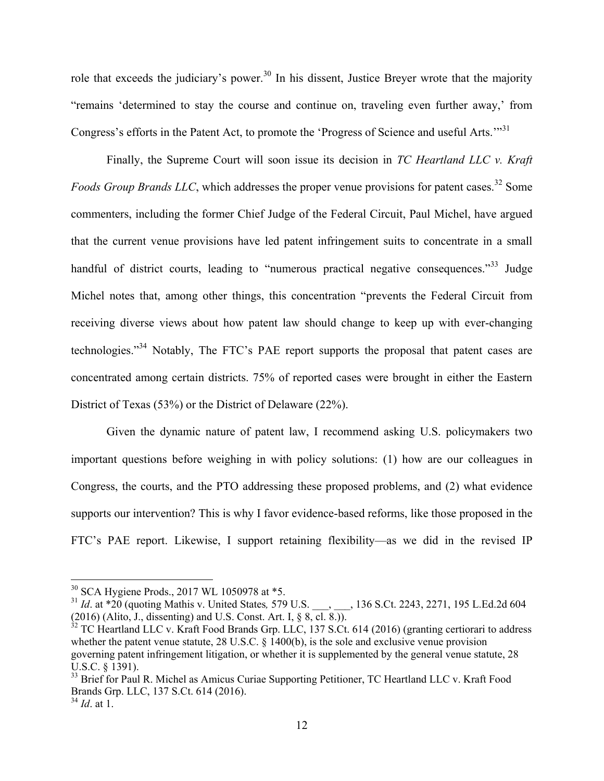"remains 'determined to stay the course and continue on, traveling even further away,' from role that exceeds the judiciary's power.<sup>30</sup> In his dissent, Justice Breyer wrote that the majority Congress's efforts in the Patent Act, to promote the 'Progress of Science and useful Arts."<sup>31</sup>

 Finally, the Supreme Court will soon issue its decision in *TC Heartland LLC v. Kraft Foods Group Brands LLC*, which addresses the proper venue provisions for patent cases.<sup>32</sup> Some commenters, including the former Chief Judge of the Federal Circuit, Paul Michel, have argued that the current venue provisions have led patent infringement suits to concentrate in a small handful of district courts, leading to "numerous practical negative consequences."<sup>33</sup> Judge Michel notes that, among other things, this concentration "prevents the Federal Circuit from receiving diverse views about how patent law should change to keep up with ever-changing technologies."<sup>34</sup> Notably, The FTC's PAE report supports the proposal that patent cases are concentrated among certain districts. 75% of reported cases were brought in either the Eastern District of Texas (53%) or the District of Delaware (22%).

 Given the dynamic nature of patent law, I recommend asking U.S. policymakers two important questions before weighing in with policy solutions: (1) how are our colleagues in Congress, the courts, and the PTO addressing these proposed problems, and (2) what evidence supports our intervention? This is why I favor evidence-based reforms, like those proposed in the FTC's PAE report. Likewise, I support retaining flexibility—as we did in the revised IP

<sup>30</sup> SCA Hygiene Prods., 2017 WL 1050978 at \*5.

<sup>&</sup>lt;sup>31</sup> *Id.* at \*20 (quoting Mathis v. United States, 579 U.S. \_\_\_, \_\_\_, 136 S.Ct. 2243, 2271, 195 L.Ed.2d 604 (2016) (Alito, J., dissenting) and U.S. Const. Art. I, § 8, cl. 8.)).

 $32$  TC Heartland LLC v. Kraft Food Brands Grp. LLC, 137 S.Ct. 614 (2016) (granting certiorari to address whether the patent venue statute, 28 U.S.C. § 1400(b), is the sole and exclusive venue provision governing patent infringement litigation, or whether it is supplemented by the general venue statute, 28 U.S.C. § 1391).

U.S.C. § 1391).<br><sup>33</sup> Brief for Paul R. Michel as Amicus Curiae Supporting Petitioner, TC Heartland LLC v. Kraft Food Brands Grp. LLC, 137 S.Ct. 614 (2016). <sup>34</sup>*Id*. at 1.

*Id.* at 1.